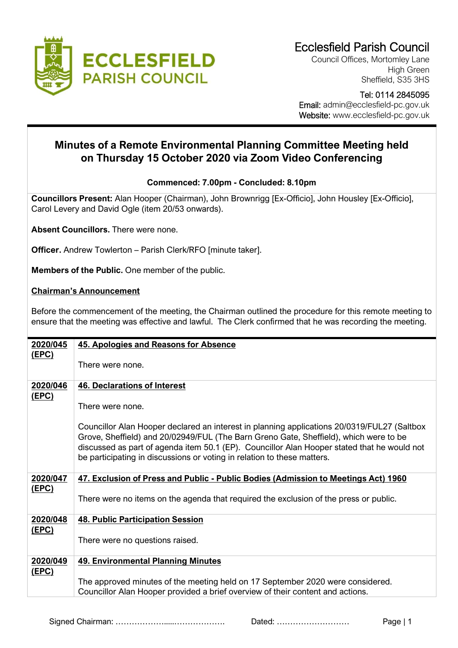

Council Offices, Mortomley Lane High Green Sheffield, S35 3HS

 Tel: 0114 2845095 Email: admin@ecclesfield-pc.gov.uk

Website: www.ecclesfield-pc.gov.uk

## **Minutes of a Remote Environmental Planning Committee Meeting held on Thursday 15 October 2020 via Zoom Video Conferencing**

## **Commenced: 7.00pm - Concluded: 8.10pm**

**Councillors Present:** Alan Hooper (Chairman), John Brownrigg [Ex-Officio], John Housley [Ex-Officio], Carol Levery and David Ogle (item 20/53 onwards).

**Absent Councillors.** There were none.

**Officer.** Andrew Towlerton – Parish Clerk/RFO [minute taker].

**Members of the Public.** One member of the public.

## **Chairman's Announcement**

Before the commencement of the meeting, the Chairman outlined the procedure for this remote meeting to ensure that the meeting was effective and lawful. The Clerk confirmed that he was recording the meeting.

| 2020/045                 | 45. Apologies and Reasons for Absence                                                                                                                                                                                                                                                                                                                          |
|--------------------------|----------------------------------------------------------------------------------------------------------------------------------------------------------------------------------------------------------------------------------------------------------------------------------------------------------------------------------------------------------------|
| <u>(EPC)</u>             | There were none.                                                                                                                                                                                                                                                                                                                                               |
| 2020/046<br><u>(EPC)</u> | <b>46. Declarations of Interest</b>                                                                                                                                                                                                                                                                                                                            |
|                          | There were none.                                                                                                                                                                                                                                                                                                                                               |
|                          | Councillor Alan Hooper declared an interest in planning applications 20/0319/FUL27 (Saltbox<br>Grove, Sheffield) and 20/02949/FUL (The Barn Greno Gate, Sheffield), which were to be<br>discussed as part of agenda item 50.1 (EP). Councillor Alan Hooper stated that he would not<br>be participating in discussions or voting in relation to these matters. |
| 2020/047                 | 47. Exclusion of Press and Public - Public Bodies (Admission to Meetings Act) 1960                                                                                                                                                                                                                                                                             |
| <u>(EPC)</u>             | There were no items on the agenda that required the exclusion of the press or public.                                                                                                                                                                                                                                                                          |
| 2020/048                 | <b>48. Public Participation Session</b>                                                                                                                                                                                                                                                                                                                        |
| <u>(EPC)</u>             | There were no questions raised.                                                                                                                                                                                                                                                                                                                                |
| 2020/049                 | <b>49. Environmental Planning Minutes</b>                                                                                                                                                                                                                                                                                                                      |
| <u>(EPC)</u>             |                                                                                                                                                                                                                                                                                                                                                                |
|                          | The approved minutes of the meeting held on 17 September 2020 were considered.<br>Councillor Alan Hooper provided a brief overview of their content and actions.                                                                                                                                                                                               |
|                          |                                                                                                                                                                                                                                                                                                                                                                |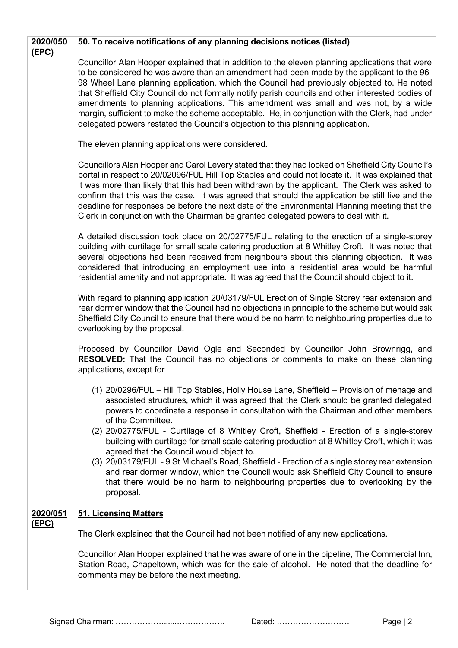| 2020/050                 | 50. To receive notifications of any planning decisions notices (listed)                                                                                                                                                                                                                                                                                                                                                                                                                                                                                                                                                                                                                                                                                                                                                           |
|--------------------------|-----------------------------------------------------------------------------------------------------------------------------------------------------------------------------------------------------------------------------------------------------------------------------------------------------------------------------------------------------------------------------------------------------------------------------------------------------------------------------------------------------------------------------------------------------------------------------------------------------------------------------------------------------------------------------------------------------------------------------------------------------------------------------------------------------------------------------------|
| (EPC)                    | Councillor Alan Hooper explained that in addition to the eleven planning applications that were<br>to be considered he was aware than an amendment had been made by the applicant to the 96-<br>98 Wheel Lane planning application, which the Council had previously objected to. He noted<br>that Sheffield City Council do not formally notify parish councils and other interested bodies of<br>amendments to planning applications. This amendment was small and was not, by a wide<br>margin, sufficient to make the scheme acceptable. He, in conjunction with the Clerk, had under<br>delegated powers restated the Council's objection to this planning application.                                                                                                                                                      |
|                          | The eleven planning applications were considered.                                                                                                                                                                                                                                                                                                                                                                                                                                                                                                                                                                                                                                                                                                                                                                                 |
|                          | Councillors Alan Hooper and Carol Levery stated that they had looked on Sheffield City Council's<br>portal in respect to 20/02096/FUL Hill Top Stables and could not locate it. It was explained that<br>it was more than likely that this had been withdrawn by the applicant. The Clerk was asked to<br>confirm that this was the case. It was agreed that should the application be still live and the<br>deadline for responses be before the next date of the Environmental Planning meeting that the<br>Clerk in conjunction with the Chairman be granted delegated powers to deal with it.                                                                                                                                                                                                                                 |
|                          | A detailed discussion took place on 20/02775/FUL relating to the erection of a single-storey<br>building with curtilage for small scale catering production at 8 Whitley Croft. It was noted that<br>several objections had been received from neighbours about this planning objection. It was<br>considered that introducing an employment use into a residential area would be harmful<br>residential amenity and not appropriate. It was agreed that the Council should object to it.                                                                                                                                                                                                                                                                                                                                         |
|                          | With regard to planning application 20/03179/FUL Erection of Single Storey rear extension and<br>rear dormer window that the Council had no objections in principle to the scheme but would ask<br>Sheffield City Council to ensure that there would be no harm to neighbouring properties due to<br>overlooking by the proposal.                                                                                                                                                                                                                                                                                                                                                                                                                                                                                                 |
|                          | Proposed by Councillor David Ogle and Seconded by Councillor John Brownrigg, and<br><b>RESOLVED:</b> That the Council has no objections or comments to make on these planning<br>applications, except for                                                                                                                                                                                                                                                                                                                                                                                                                                                                                                                                                                                                                         |
|                          | (1) 20/0296/FUL – Hill Top Stables, Holly House Lane, Sheffield – Provision of menage and<br>associated structures, which it was agreed that the Clerk should be granted delegated<br>powers to coordinate a response in consultation with the Chairman and other members<br>of the Committee.<br>(2) 20/02775/FUL - Curtilage of 8 Whitley Croft, Sheffield - Erection of a single-storey<br>building with curtilage for small scale catering production at 8 Whitley Croft, which it was<br>agreed that the Council would object to.<br>(3) 20/03179/FUL - 9 St Michael's Road, Sheffield - Erection of a single storey rear extension<br>and rear dormer window, which the Council would ask Sheffield City Council to ensure<br>that there would be no harm to neighbouring properties due to overlooking by the<br>proposal. |
| 2020/051<br><u>(EPC)</u> | <b>51. Licensing Matters</b>                                                                                                                                                                                                                                                                                                                                                                                                                                                                                                                                                                                                                                                                                                                                                                                                      |
|                          | The Clerk explained that the Council had not been notified of any new applications.                                                                                                                                                                                                                                                                                                                                                                                                                                                                                                                                                                                                                                                                                                                                               |
|                          | Councillor Alan Hooper explained that he was aware of one in the pipeline, The Commercial Inn,<br>Station Road, Chapeltown, which was for the sale of alcohol. He noted that the deadline for<br>comments may be before the next meeting.                                                                                                                                                                                                                                                                                                                                                                                                                                                                                                                                                                                         |
|                          |                                                                                                                                                                                                                                                                                                                                                                                                                                                                                                                                                                                                                                                                                                                                                                                                                                   |